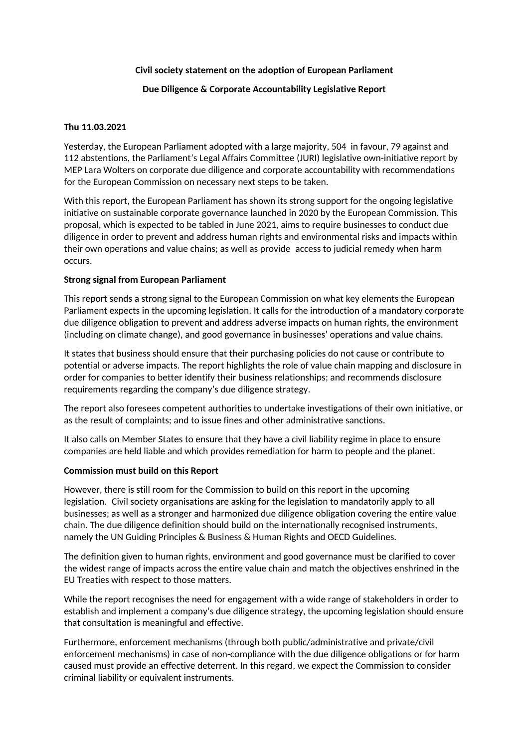# **Civil society statement on the adoption of European Parliament**

# **Due Diligence & Corporate Accountability Legislative Report**

### **Thu 11.03.2021**

Yesterday, the European Parliament adopted with a large majority, 504 in favour, 79 against and 112 abstentions, the Parliament's Legal Affairs Committee (JURI) legislative own-initiative report by MEP Lara Wolters on corporate due diligence and corporate accountability with recommendations for the European Commission on necessary next steps to be taken.

With this report, the European Parliament has shown its strong support for the ongoing legislative initiative on sustainable corporate governance launched in 2020 by the European Commission. This proposal, which is expected to be tabled in June 2021, aims to require businesses to conduct due diligence in order to prevent and address human rights and environmental risks and impacts within their own operations and value chains; as well as provide access to judicial remedy when harm occurs.

#### **Strong signal from European Parliament**

This report sends a strong signal to the European Commission on what key elements the European Parliament expects in the upcoming legislation. It calls for the introduction of a mandatory corporate due diligence obligation to prevent and address adverse impacts on human rights, the environment (including on climate change), and good governance in businesses' operations and value chains.

It states that business should ensure that their purchasing policies do not cause or contribute to potential or adverse impacts. The report highlights the role of value chain mapping and disclosure in order for companies to better identify their business relationships; and recommends disclosure requirements regarding the company's due diligence strategy.

The report also foresees competent authorities to undertake investigations of their own initiative, or as the result of complaints; and to issue fines and other administrative sanctions.

It also calls on Member States to ensure that they have a civil liability regime in place to ensure companies are held liable and which provides remediation for harm to people and the planet.

#### **Commission must build on this Report**

However, there is still room for the Commission to build on this report in the upcoming legislation. Civil society organisations are asking for the legislation to mandatorily apply to all businesses; as well as a stronger and harmonized due diligence obligation covering the entire value chain. The due diligence definition should build on the internationally recognised instruments, namely the UN Guiding Principles & Business & Human Rights and OECD Guidelines.

The definition given to human rights, environment and good governance must be clarified to cover the widest range of impacts across the entire value chain and match the objectives enshrined in the EU Treaties with respect to those matters.

While the report recognises the need for engagement with a wide range of stakeholders in order to establish and implement a company's due diligence strategy, the upcoming legislation should ensure that consultation is meaningful and effective.

Furthermore, enforcement mechanisms (through both public/administrative and private/civil enforcement mechanisms) in case of non-compliance with the due diligence obligations or for harm caused must provide an effective deterrent. In this regard, we expect the Commission to consider criminal liability or equivalent instruments.